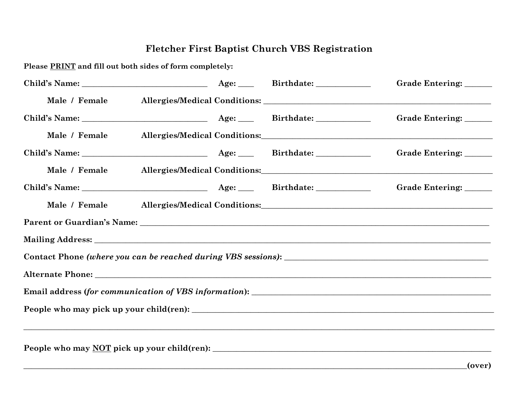## **Fletcher First Baptist Church VBS Registration**

**Please PRINT and fill out both sides of form completely:**

|               |                                                                                   |  | Grade Entering: _____  |
|---------------|-----------------------------------------------------------------------------------|--|------------------------|
| Male / Female |                                                                                   |  |                        |
|               |                                                                                   |  | Grade Entering: _____  |
| Male / Female |                                                                                   |  |                        |
|               |                                                                                   |  | Grade Entering: ______ |
| Male / Female |                                                                                   |  |                        |
|               |                                                                                   |  | Grade Entering: ______ |
| Male / Female |                                                                                   |  |                        |
|               |                                                                                   |  |                        |
|               |                                                                                   |  |                        |
|               |                                                                                   |  |                        |
|               |                                                                                   |  |                        |
|               |                                                                                   |  |                        |
|               |                                                                                   |  |                        |
|               | ,我们也不能会有什么。""我们的人,我们也不能会有什么?""我们的人,我们也不能会有什么?""我们的人,我们也不能会有什么?""我们的人,我们也不能会有什么?"" |  |                        |
|               |                                                                                   |  |                        |